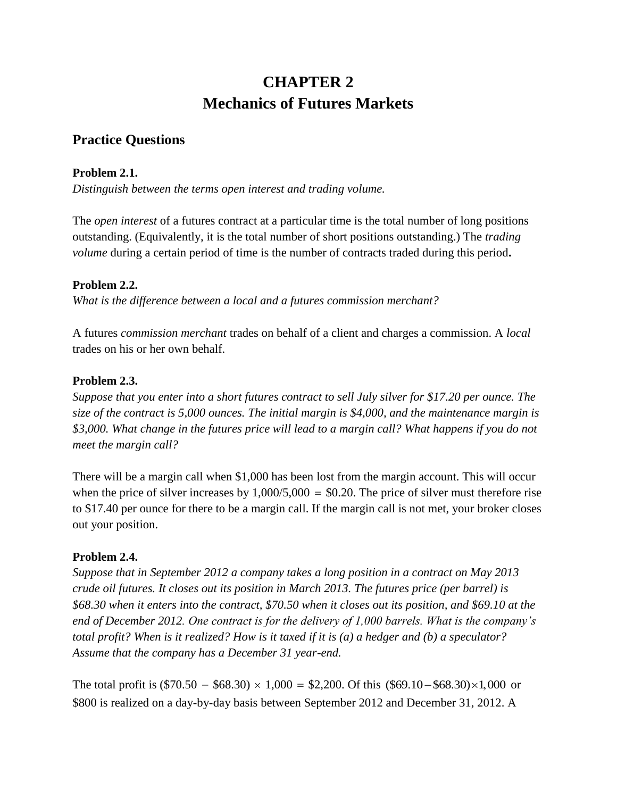# **CHAPTER 2 Mechanics of Futures Markets**

## **Practice Questions**

### **Problem 2.1.**

*Distinguish between the terms open interest and trading volume.* 

The *open interest* of a futures contract at a particular time is the total number of long positions outstanding. (Equivalently, it is the total number of short positions outstanding.) The *trading volume* during a certain period of time is the number of contracts traded during this period**.** 

### **Problem 2.2.**

*What is the difference between a local and a futures commission merchant?*

A futures *commission merchant* trades on behalf of a client and charges a commission. A *local* trades on his or her own behalf.

### **Problem 2.3.**

*Suppose that you enter into a short futures contract to sell July silver for \$17.20 per ounce. The size of the contract is 5,000 ounces. The initial margin is \$4,000, and the maintenance margin is \$3,000. What change in the futures price will lead to a margin call? What happens if you do not meet the margin call?*

There will be a margin call when \$1,000 has been lost from the margin account. This will occur when the price of silver increases by  $1,000/5,000 = $0.20$ . The price of silver must therefore rise to \$17.40 per ounce for there to be a margin call. If the margin call is not met, your broker closes out your position.

### **Problem 2.4.**

*Suppose that in September 2012 a company takes a long position in a contract on May 2013 crude oil futures. It closes out its position in March 2013. The futures price (per barrel) is \$68.30 when it enters into the contract, \$70.50 when it closes out its position, and \$69.10 at the end of December 2012. One contract is for the delivery of 1,000 barrels. What is the company's total profit? When is it realized? How is it taxed if it is (a) a hedger and (b) a speculator? Assume that the company has a December 31 year-end.* 

The total profit is  $(\$70.50 - \$68.30) \times 1,000 = \$2,200$ . Of this  $(\$69.10 - \$68.30) \times 1,000$  or \$800 is realized on a day-by-day basis between September 2012 and December 31, 2012. A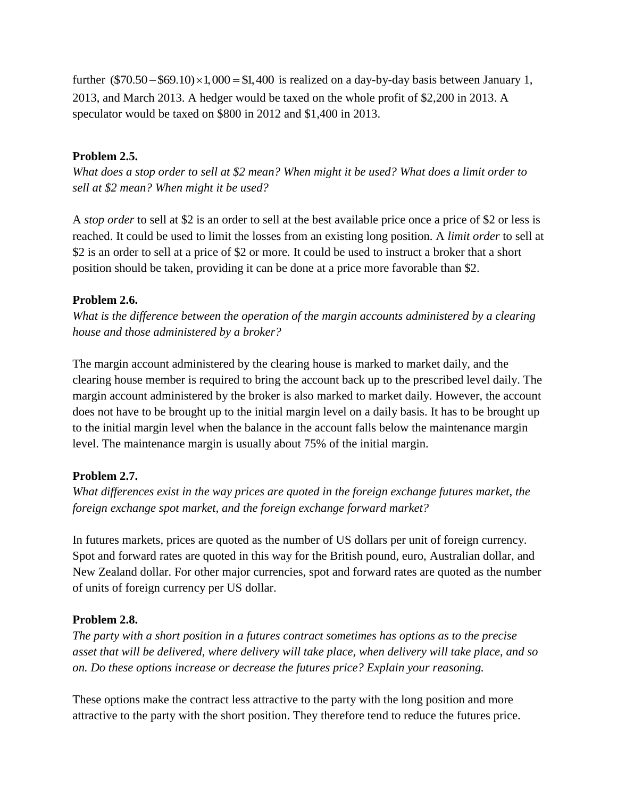further  $(\$70.50 - \$69.10) \times 1,000 = \$1,400$  is realized on a day-by-day basis between January 1, 2013, and March 2013. A hedger would be taxed on the whole profit of \$2,200 in 2013. A speculator would be taxed on \$800 in 2012 and \$1,400 in 2013.

### **Problem 2.5.**

*What does a stop order to sell at \$2 mean? When might it be used? What does a limit order to sell at \$2 mean? When might it be used?* 

A *stop order* to sell at \$2 is an order to sell at the best available price once a price of \$2 or less is reached. It could be used to limit the losses from an existing long position. A *limit order* to sell at \$2 is an order to sell at a price of \$2 or more. It could be used to instruct a broker that a short position should be taken, providing it can be done at a price more favorable than \$2.

### **Problem 2.6.**

*What is the difference between the operation of the margin accounts administered by a clearing house and those administered by a broker?* 

The margin account administered by the clearing house is marked to market daily, and the clearing house member is required to bring the account back up to the prescribed level daily. The margin account administered by the broker is also marked to market daily. However, the account does not have to be brought up to the initial margin level on a daily basis. It has to be brought up to the initial margin level when the balance in the account falls below the maintenance margin level. The maintenance margin is usually about 75% of the initial margin.

### **Problem 2.7.**

*What differences exist in the way prices are quoted in the foreign exchange futures market, the foreign exchange spot market, and the foreign exchange forward market?* 

In futures markets, prices are quoted as the number of US dollars per unit of foreign currency. Spot and forward rates are quoted in this way for the British pound, euro, Australian dollar, and New Zealand dollar. For other major currencies, spot and forward rates are quoted as the number of units of foreign currency per US dollar.

### **Problem 2.8.**

*The party with a short position in a futures contract sometimes has options as to the precise asset that will be delivered, where delivery will take place, when delivery will take place, and so on. Do these options increase or decrease the futures price? Explain your reasoning.*

These options make the contract less attractive to the party with the long position and more attractive to the party with the short position. They therefore tend to reduce the futures price.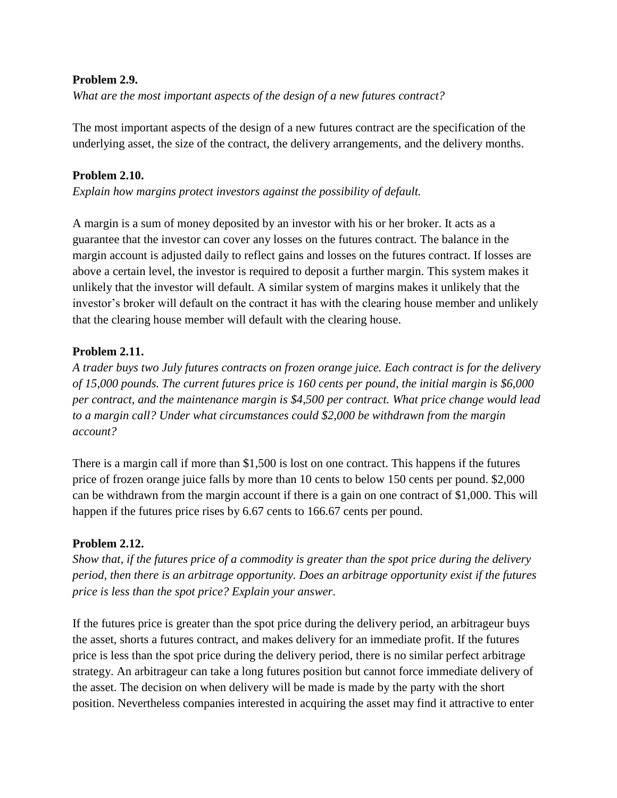#### **Problem 2.9.**

*What are the most important aspects of the design of a new futures contract?*

The most important aspects of the design of a new futures contract are the specification of the underlying asset, the size of the contract, the delivery arrangements, and the delivery months.

### **Problem 2.10.**

*Explain how margins protect investors against the possibility of default.*

A margin is a sum of money deposited by an investor with his or her broker. It acts as a guarantee that the investor can cover any losses on the futures contract. The balance in the margin account is adjusted daily to reflect gains and losses on the futures contract. If losses are above a certain level, the investor is required to deposit a further margin. This system makes it unlikely that the investor will default. A similar system of margins makes it unlikely that the investor's broker will default on the contract it has with the clearing house member and unlikely that the clearing house member will default with the clearing house.

### **Problem 2.11.**

*A trader buys two July futures contracts on frozen orange juice. Each contract is for the delivery of 15,000 pounds. The current futures price is 160 cents per pound, the initial margin is \$6,000 per contract, and the maintenance margin is \$4,500 per contract. What price change would lead to a margin call? Under what circumstances could \$2,000 be withdrawn from the margin account?*

There is a margin call if more than \$1,500 is lost on one contract. This happens if the futures price of frozen orange juice falls by more than 10 cents to below 150 cents per pound. \$2,000 can be withdrawn from the margin account if there is a gain on one contract of \$1,000. This will happen if the futures price rises by 6.67 cents to 166.67 cents per pound.

### **Problem 2.12.**

*Show that, if the futures price of a commodity is greater than the spot price during the delivery period, then there is an arbitrage opportunity. Does an arbitrage opportunity exist if the futures price is less than the spot price? Explain your answer.*

If the futures price is greater than the spot price during the delivery period, an arbitrageur buys the asset, shorts a futures contract, and makes delivery for an immediate profit. If the futures price is less than the spot price during the delivery period, there is no similar perfect arbitrage strategy. An arbitrageur can take a long futures position but cannot force immediate delivery of the asset. The decision on when delivery will be made is made by the party with the short position. Nevertheless companies interested in acquiring the asset may find it attractive to enter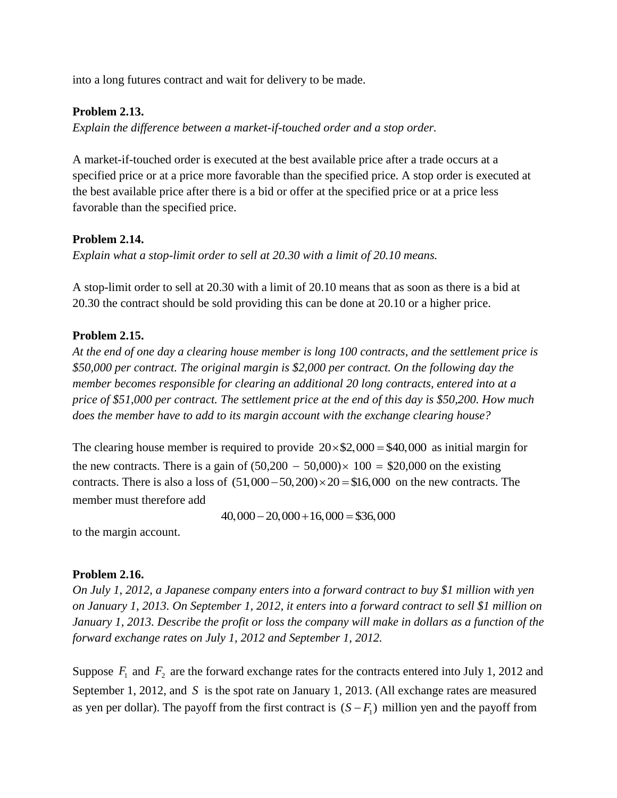into a long futures contract and wait for delivery to be made.

#### **Problem 2.13.**

*Explain the difference between a market-if-touched order and a stop order.*

A market-if-touched order is executed at the best available price after a trade occurs at a specified price or at a price more favorable than the specified price. A stop order is executed at the best available price after there is a bid or offer at the specified price or at a price less favorable than the specified price.

#### **Problem 2.14.**

*Explain what a stop-limit order to sell at 20.30 with a limit of 20.10 means.*

A stop-limit order to sell at 20.30 with a limit of 20.10 means that as soon as there is a bid at 20.30 the contract should be sold providing this can be done at 20.10 or a higher price.

#### **Problem 2.15.**

*At the end of one day a clearing house member is long 100 contracts, and the settlement price is \$50,000 per contract. The original margin is \$2,000 per contract. On the following day the member becomes responsible for clearing an additional 20 long contracts, entered into at a price of \$51,000 per contract. The settlement price at the end of this day is \$50,200. How much does the member have to add to its margin account with the exchange clearing house?*

The clearing house member is required to provide  $20 \times $2,000 = $40,000$  as initial margin for the new contracts. There is a gain of  $(50,200 - 50,000) \times 100 = $20,000$  on the existing the new contracts. There is a gain of  $(50,200 - 50,000) \times 100 = $20,000$  on the existing contracts. There is also a loss of  $(51,000 - 50,200) \times 20 = $16,000$  on the new contracts. The member must therefore add

 $40,000 - 20,000 + 16,000 = $36,000$ 

to the margin account.

#### **Problem 2.16.**

*On July 1, 2012, a Japanese company enters into a forward contract to buy \$1 million with yen on January 1, 2013. On September 1, 2012, it enters into a forward contract to sell \$1 million on January 1, 2013. Describe the profit or loss the company will make in dollars as a function of the forward exchange rates on July 1, 2012 and September 1, 2012.*

Suppose  $F_1$  and  $F_2$  are the forward exchange rates for the contracts entered into July 1, 2012 and September 1, 2012, and S is the spot rate on January 1, 2013. (All exchange rates are measured as yen per dollar). The payoff from the first contract is  $(S - F_1)$  million yen and the payoff from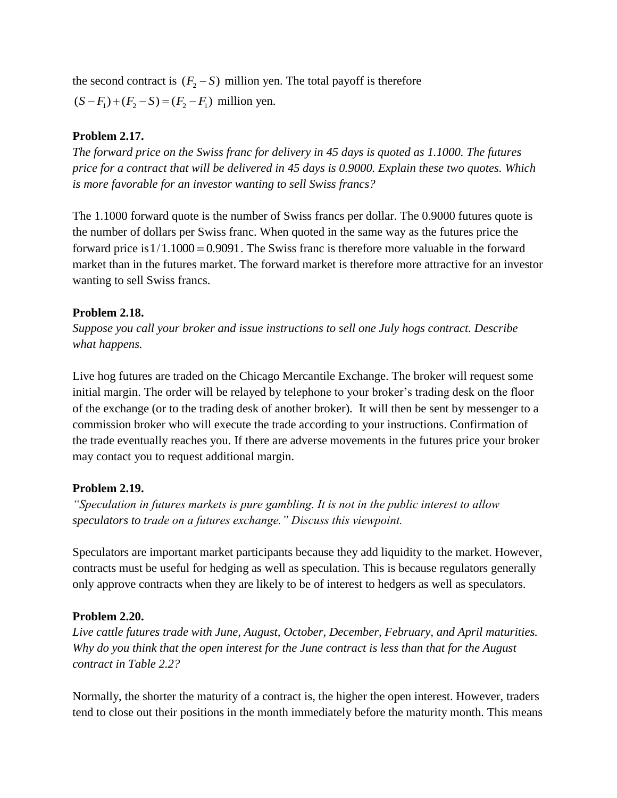the second contract is  $(F_2 - S)$  million yen. The total payoff is therefore  $(S - F_1) + (F_2 - S) = (F_2 - F_1)$  million yen.

### **Problem 2.17.**

*The forward price on the Swiss franc for delivery in 45 days is quoted as 1.1000. The futures price for a contract that will be delivered in 45 days is 0.9000. Explain these two quotes. Which is more favorable for an investor wanting to sell Swiss francs?*

The 1.1000 forward quote is the number of Swiss francs per dollar. The 0.9000 futures quote is the number of dollars per Swiss franc. When quoted in the same way as the futures price the forward price is  $1/1.1000 = 0.9091$ . The Swiss franc is therefore more valuable in the forward market than in the futures market. The forward market is therefore more attractive for an investor wanting to sell Swiss francs.

### **Problem 2.18.**

*Suppose you call your broker and issue instructions to sell one July hogs contract. Describe what happens.*

Live hog futures are traded on the Chicago Mercantile Exchange. The broker will request some initial margin. The order will be relayed by telephone to your broker's trading desk on the floor of the exchange (or to the trading desk of another broker). It will then be sent by messenger to a commission broker who will execute the trade according to your instructions. Confirmation of the trade eventually reaches you. If there are adverse movements in the futures price your broker may contact you to request additional margin.

### **Problem 2.19.**

*"Speculation in futures markets is pure gambling. It is not in the public interest to allow speculators to trade on a futures exchange." Discuss this viewpoint.*

Speculators are important market participants because they add liquidity to the market. However, contracts must be useful for hedging as well as speculation. This is because regulators generally only approve contracts when they are likely to be of interest to hedgers as well as speculators.

### **Problem 2.20.**

*Live cattle futures trade with June, August, October, December, February, and April maturities. Why do you think that the open interest for the June contract is less than that for the August contract in Table 2.2?*

Normally, the shorter the maturity of a contract is, the higher the open interest. However, traders tend to close out their positions in the month immediately before the maturity month. This means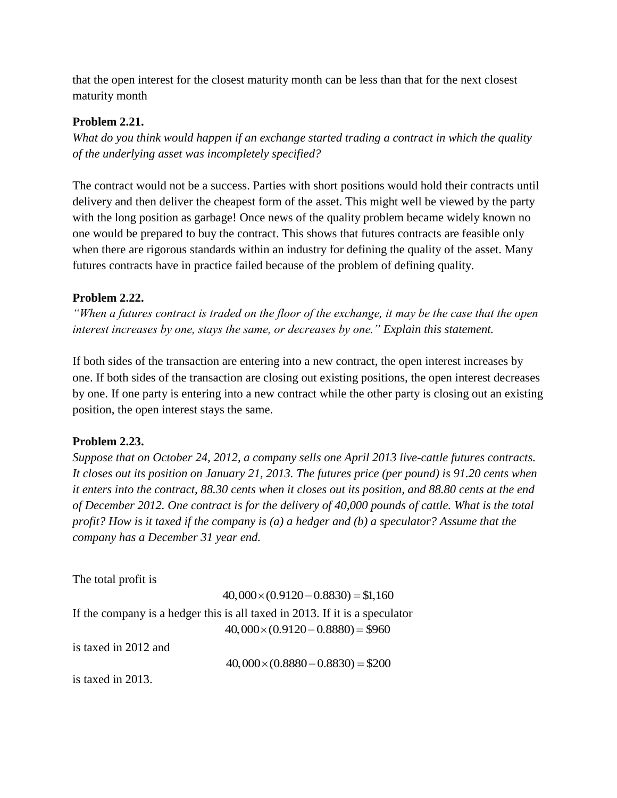that the open interest for the closest maturity month can be less than that for the next closest maturity month

#### **Problem 2.21.**

*What do you think would happen if an exchange started trading a contract in which the quality of the underlying asset was incompletely specified?*

The contract would not be a success. Parties with short positions would hold their contracts until delivery and then deliver the cheapest form of the asset. This might well be viewed by the party with the long position as garbage! Once news of the quality problem became widely known no one would be prepared to buy the contract. This shows that futures contracts are feasible only when there are rigorous standards within an industry for defining the quality of the asset. Many futures contracts have in practice failed because of the problem of defining quality.

#### **Problem 2.22.**

*"When a futures contract is traded on the floor of the exchange, it may be the case that the open interest increases by one, stays the same, or decreases by one." Explain this statement.*

If both sides of the transaction are entering into a new contract, the open interest increases by one. If both sides of the transaction are closing out existing positions, the open interest decreases by one. If one party is entering into a new contract while the other party is closing out an existing position, the open interest stays the same.

#### **Problem 2.23.**

*Suppose that on October 24, 2012, a company sells one April 2013 live-cattle futures contracts. It closes out its position on January 21, 2013. The futures price (per pound) is 91.20 cents when it enters into the contract, 88.30 cents when it closes out its position, and 88.80 cents at the end of December 2012. One contract is for the delivery of 40,000 pounds of cattle. What is the total profit? How is it taxed if the company is (a) a hedger and (b) a speculator? Assume that the company has a December 31 year end.*

The total profit is

The total profit is  
\n
$$
40,000 \times (0.9120 - 0.8830) = $1,160
$$
\nIf the company is a hedger this is all taxed in 2013. If it is a speculator  
\n
$$
40,000 \times (0.9120 - 0.8880) = $960
$$
\nis taxed in 2012 and

 $40,000 \times (0.8880 - 0.8830) = $200$ 

is taxed in 2013.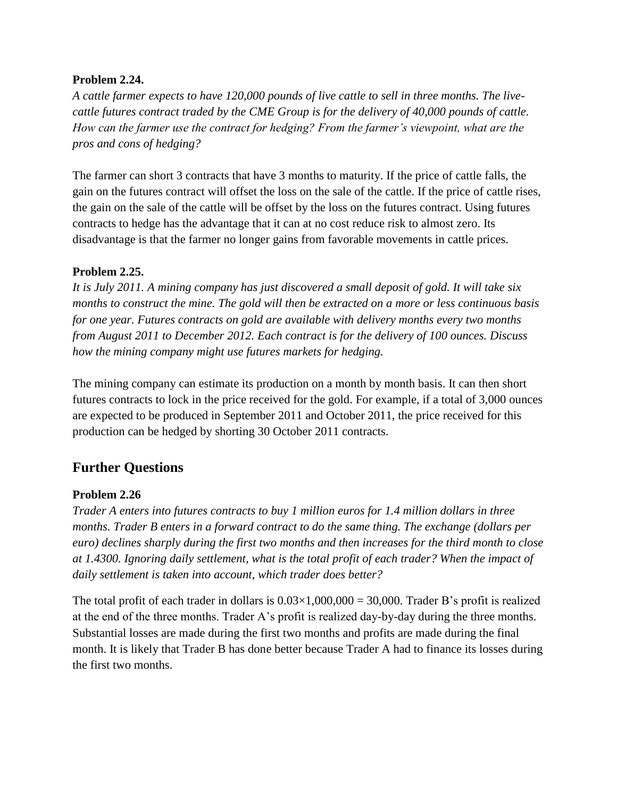#### **Problem 2.24.**

*A cattle farmer expects to have 120,000 pounds of live cattle to sell in three months. The livecattle futures contract traded by the CME Group is for the delivery of 40,000 pounds of cattle. How can the farmer use the contract for hedging? From the farmer's viewpoint, what are the pros and cons of hedging?*

The farmer can short 3 contracts that have 3 months to maturity. If the price of cattle falls, the gain on the futures contract will offset the loss on the sale of the cattle. If the price of cattle rises, the gain on the sale of the cattle will be offset by the loss on the futures contract. Using futures contracts to hedge has the advantage that it can at no cost reduce risk to almost zero. Its disadvantage is that the farmer no longer gains from favorable movements in cattle prices.

### **Problem 2.25.**

*It is July 2011. A mining company has just discovered a small deposit of gold. It will take six months to construct the mine. The gold will then be extracted on a more or less continuous basis for one year. Futures contracts on gold are available with delivery months every two months from August 2011 to December 2012. Each contract is for the delivery of 100 ounces. Discuss how the mining company might use futures markets for hedging.*

The mining company can estimate its production on a month by month basis. It can then short futures contracts to lock in the price received for the gold. For example, if a total of 3,000 ounces are expected to be produced in September 2011 and October 2011, the price received for this production can be hedged by shorting 30 October 2011 contracts.

### **Further Questions**

### **Problem 2.26**

*Trader A enters into futures contracts to buy 1 million euros for 1.4 million dollars in three months. Trader B enters in a forward contract to do the same thing. The exchange (dollars per euro) declines sharply during the first two months and then increases for the third month to close at 1.4300. Ignoring daily settlement, what is the total profit of each trader? When the impact of daily settlement is taken into account, which trader does better?*

The total profit of each trader in dollars is  $0.03 \times 1,000,000 = 30,000$ . Trader B's profit is realized at the end of the three months. Trader A's profit is realized day-by-day during the three months. Substantial losses are made during the first two months and profits are made during the final month. It is likely that Trader B has done better because Trader A had to finance its losses during the first two months.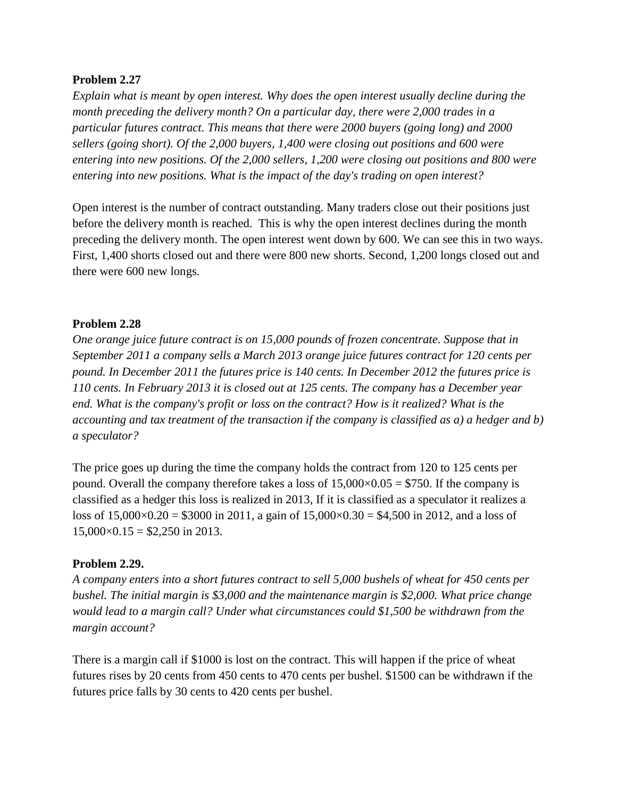#### **Problem 2.27**

*Explain what is meant by open interest. Why does the open interest usually decline during the month preceding the delivery month? On a particular day, there were 2,000 trades in a particular futures contract. This means that there were 2000 buyers (going long) and 2000 sellers (going short). Of the 2,000 buyers, 1,400 were closing out positions and 600 were entering into new positions. Of the 2,000 sellers, 1,200 were closing out positions and 800 were entering into new positions. What is the impact of the day's trading on open interest?*

Open interest is the number of contract outstanding. Many traders close out their positions just before the delivery month is reached. This is why the open interest declines during the month preceding the delivery month. The open interest went down by 600. We can see this in two ways. First, 1,400 shorts closed out and there were 800 new shorts. Second, 1,200 longs closed out and there were 600 new longs.

#### **Problem 2.28**

*One orange juice future contract is on 15,000 pounds of frozen concentrate. Suppose that in September 2011 a company sells a March 2013 orange juice futures contract for 120 cents per pound. In December 2011 the futures price is 140 cents. In December 2012 the futures price is 110 cents. In February 2013 it is closed out at 125 cents. The company has a December year end. What is the company's profit or loss on the contract? How is it realized? What is the accounting and tax treatment of the transaction if the company is classified as a) a hedger and b) a speculator?* 

The price goes up during the time the company holds the contract from 120 to 125 cents per pound. Overall the company therefore takes a loss of  $15,000\times0.05 = $750$ . If the company is classified as a hedger this loss is realized in 2013, If it is classified as a speculator it realizes a loss of  $15,000 \times 0.20 = $3000$  in 2011, a gain of  $15,000 \times 0.30 = $4,500$  in 2012, and a loss of  $15,000\times0.15 = $2,250$  in 2013.

#### **Problem 2.29.**

*A company enters into a short futures contract to sell 5,000 bushels of wheat for 450 cents per bushel. The initial margin is \$3,000 and the maintenance margin is \$2,000. What price change would lead to a margin call? Under what circumstances could \$1,500 be withdrawn from the margin account?* 

There is a margin call if \$1000 is lost on the contract. This will happen if the price of wheat futures rises by 20 cents from 450 cents to 470 cents per bushel. \$1500 can be withdrawn if the futures price falls by 30 cents to 420 cents per bushel.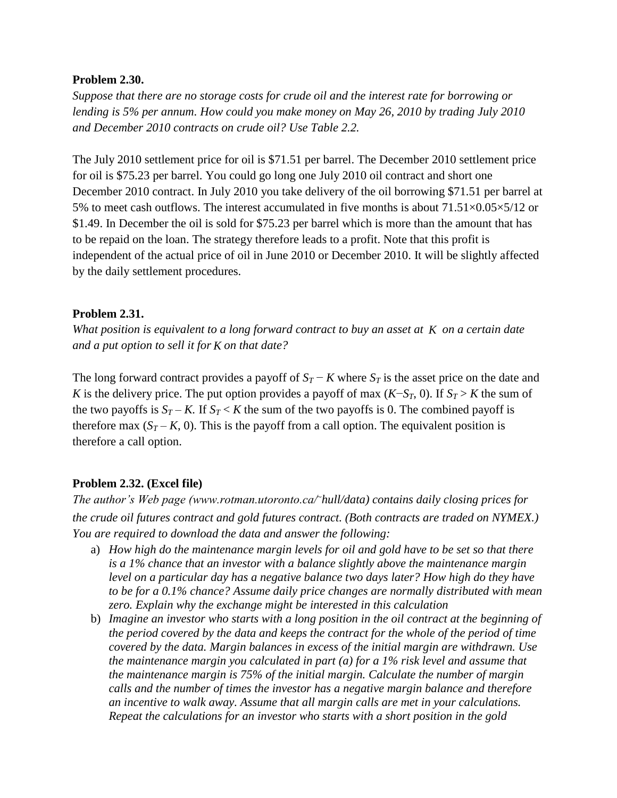#### **Problem 2.30.**

*Suppose that there are no storage costs for crude oil and the interest rate for borrowing or lending is 5% per annum. How could you make money on May 26, 2010 by trading July 2010 and December 2010 contracts on crude oil? Use Table 2.2.*

The July 2010 settlement price for oil is \$71.51 per barrel. The December 2010 settlement price for oil is \$75.23 per barrel. You could go long one July 2010 oil contract and short one December 2010 contract. In July 2010 you take delivery of the oil borrowing \$71.51 per barrel at 5% to meet cash outflows. The interest accumulated in five months is about  $71.51\times0.05\times5/12$  or \$1.49. In December the oil is sold for \$75.23 per barrel which is more than the amount that has to be repaid on the loan. The strategy therefore leads to a profit. Note that this profit is independent of the actual price of oil in June 2010 or December 2010. It will be slightly affected by the daily settlement procedures.

### **Problem 2.31.**

What position is equivalent to a long forward contract to buy an asset at *K* on a certain date *and a put option to sell it for K on that date?*

The long forward contract provides a payoff of  $S_T - K$  where  $S_T$  is the asset price on the date and *K* is the delivery price. The put option provides a payoff of max  $(K-S_T, 0)$ . If  $S_T > K$  the sum of the two payoffs is  $S_T - K$ . If  $S_T < K$  the sum of the two payoffs is 0. The combined payoff is therefore max  $(S_T - K, 0)$ . This is the payoff from a call option. The equivalent position is therefore a call option.

### **Problem 2.32. (Excel file)**

*The author's Web page (www.rotman.utoronto.ca/*<sup>~</sup>*hull/data) contains daily closing prices for the crude oil futures contract and gold futures contract. (Both contracts are traded on NYMEX.) You are required to download the data and answer the following:* 

- a) *How high do the maintenance margin levels for oil and gold have to be set so that there is a 1% chance that an investor with a balance slightly above the maintenance margin level on a particular day has a negative balance two days later? How high do they have to be for a 0.1% chance? Assume daily price changes are normally distributed with mean zero. Explain why the exchange might be interested in this calculation*
- b) *Imagine an investor who starts with a long position in the oil contract at the beginning of the period covered by the data and keeps the contract for the whole of the period of time covered by the data. Margin balances in excess of the initial margin are withdrawn. Use the maintenance margin you calculated in part (a) for a 1% risk level and assume that the maintenance margin is 75% of the initial margin. Calculate the number of margin calls and the number of times the investor has a negative margin balance and therefore an incentive to walk away. Assume that all margin calls are met in your calculations. Repeat the calculations for an investor who starts with a short position in the gold*